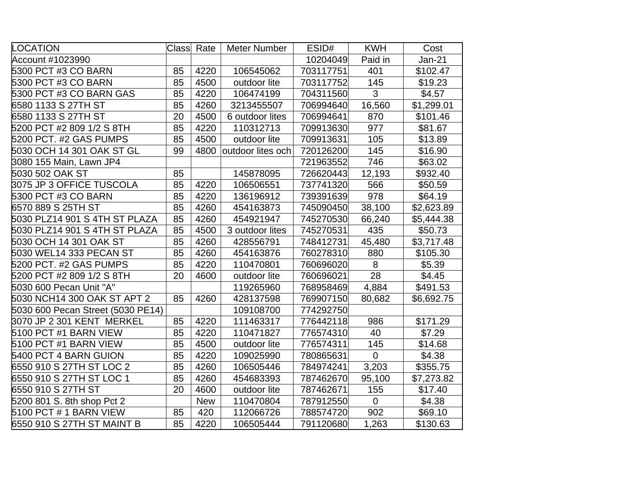| LOCATION                          | Class | Rate       | Meter Number      | ESID#     | <b>KWH</b>     | Cost          |
|-----------------------------------|-------|------------|-------------------|-----------|----------------|---------------|
| Account #1023990                  |       |            |                   | 10204049  | Paid in        | <b>Jan-21</b> |
| 5300 PCT #3 CO BARN               | 85    | 4220       | 106545062         | 703117751 | 401            | \$102.47      |
| 5300 PCT #3 CO BARN               | 85    | 4500       | outdoor lite      | 703117752 | 145            | \$19.23       |
| 5300 PCT #3 CO BARN GAS           | 85    | 4220       | 106474199         | 704311560 | 3              | \$4.57        |
| 6580 1133 S 27TH ST               | 85    | 4260       | 3213455507        | 706994640 | 16,560         | \$1,299.01    |
| 6580 1133 S 27TH ST               | 20    | 4500       | 6 outdoor lites   | 706994641 | 870            | \$101.46      |
| 5200 PCT #2 809 1/2 S 8TH         | 85    | 4220       | 110312713         | 709913630 | 977            | \$81.67       |
| 5200 PCT. #2 GAS PUMPS            | 85    | 4500       | outdoor lite      | 709913631 | 105            | \$13.89       |
| 5030 OCH 14 301 OAK ST GL         | 99    | 4800       | outdoor lites och | 720126200 | 145            | \$16.90       |
| 3080 155 Main, Lawn JP4           |       |            |                   | 721963552 | 746            | \$63.02       |
| 5030 502 OAK ST                   | 85    |            | 145878095         | 726620443 | 12,193         | \$932.40      |
| 3075 JP 3 OFFICE TUSCOLA          | 85    | 4220       | 106506551         | 737741320 | 566            | \$50.59       |
| 5300 PCT #3 CO BARN               | 85    | 4220       | 136196912         | 739391639 | 978            | \$64.19       |
| 6570 889 S 25TH ST                | 85    | 4260       | 454163873         | 745090450 | 38,100         | \$2,623.89    |
| 5030 PLZ14 901 S 4TH ST PLAZA     | 85    | 4260       | 454921947         | 745270530 | 66,240         | \$5,444.38    |
| 5030 PLZ14 901 S 4TH ST PLAZA     | 85    | 4500       | 3 outdoor lites   | 745270531 | 435            | \$50.73       |
| 5030 OCH 14 301 OAK ST            | 85    | 4260       | 428556791         | 748412731 | 45,480         | \$3,717.48    |
| 5030 WEL14 333 PECAN ST           | 85    | 4260       | 454163876         | 760278310 | 880            | \$105.30      |
| 5200 PCT. #2 GAS PUMPS            | 85    | 4220       | 110470801         | 760696020 | 8              | \$5.39        |
| 5200 PCT #2 809 1/2 S 8TH         | 20    | 4600       | outdoor lite      | 760696021 | 28             | \$4.45        |
| 5030 600 Pecan Unit "A"           |       |            | 119265960         | 768958469 | 4,884          | \$491.53      |
| 5030 NCH14 300 OAK ST APT 2       | 85    | 4260       | 428137598         | 769907150 | 80,682         | \$6,692.75    |
| 5030 600 Pecan Street (5030 PE14) |       |            | 109108700         | 774292750 |                |               |
| 3070 JP 2 301 KENT_MERKEL         | 85    | 4220       | 111463317         | 776442118 | 986            | \$171.29      |
| 5100 PCT #1 BARN VIEW             | 85    | 4220       | 110471827         | 776574310 | 40             | \$7.29        |
| 5100 PCT #1 BARN VIEW             | 85    | 4500       | outdoor lite      | 776574311 | 145            | \$14.68       |
| 5400 PCT 4 BARN GUION             | 85    | 4220       | 109025990         | 780865631 | $\overline{0}$ | \$4.38        |
| 6550 910 S 27TH ST LOC 2          | 85    | 4260       | 106505446         | 784974241 | 3,203          | \$355.75      |
| 6550 910 S 27TH ST LOC 1          | 85    | 4260       | 454683393         | 787462670 | 95,100         | \$7,273.82    |
| 6550 910 S 27TH ST                | 20    | 4600       | outdoor lite      | 787462671 | 155            | \$17.40       |
| 5200 801 S. 8th shop Pct 2        |       | <b>New</b> | 110470804         | 787912550 | $\mathbf 0$    | \$4.38        |
| 5100 PCT # 1 BARN VIEW            | 85    | 420        | 112066726         | 788574720 | 902            | \$69.10       |
| 6550 910 S 27TH ST MAINT B        | 85    | 4220       | 106505444         | 791120680 | 1,263          | \$130.63      |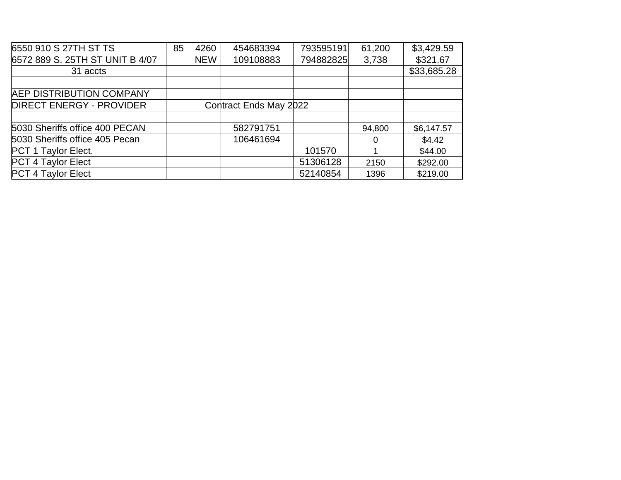| 6550 910 S 27TH ST TS           | 85 | 4260       | 454683394              | 793595191 | 61,200 | \$3,429.59  |
|---------------------------------|----|------------|------------------------|-----------|--------|-------------|
| 6572 889 S. 25TH ST UNIT B 4/07 |    | <b>NEW</b> | 109108883              | 794882825 | 3,738  | \$321.67    |
| 31 accts                        |    |            |                        |           |        | \$33,685.28 |
|                                 |    |            |                        |           |        |             |
| <b>AEP DISTRIBUTION COMPANY</b> |    |            |                        |           |        |             |
| <b>DIRECT ENERGY - PROVIDER</b> |    |            | Contract Ends May 2022 |           |        |             |
|                                 |    |            |                        |           |        |             |
| 5030 Sheriffs office 400 PECAN  |    |            | 582791751              |           | 94,800 | \$6,147.57  |
| 5030 Sheriffs office 405 Pecan  |    |            | 106461694              |           | 0      | \$4.42      |
| PCT 1 Taylor Elect.             |    |            |                        | 101570    |        | \$44.00     |
| PCT 4 Taylor Elect              |    |            |                        | 51306128  | 2150   | \$292.00    |
| <b>PCT 4 Taylor Elect</b>       |    |            |                        | 52140854  | 1396   | \$219.00    |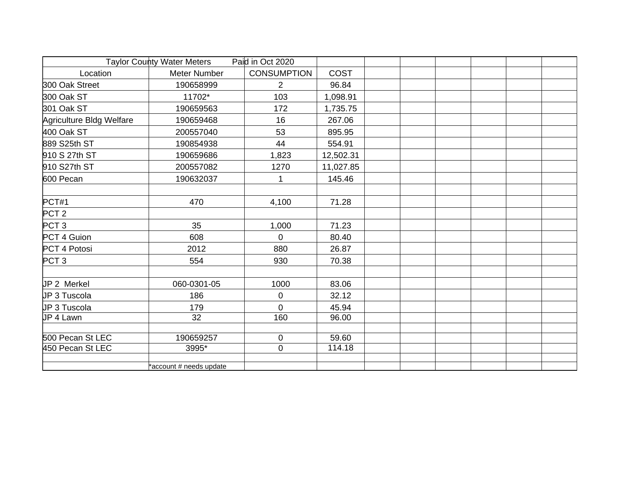| Taylor County Water Meters<br>Paid in Oct 2020 |                         |                    |           |  |  |  |
|------------------------------------------------|-------------------------|--------------------|-----------|--|--|--|
| Location                                       | <b>Meter Number</b>     | <b>CONSUMPTION</b> | COST      |  |  |  |
| 300 Oak Street                                 | 190658999               | $\overline{2}$     | 96.84     |  |  |  |
| 300 Oak ST                                     | 11702*                  | 103                | 1,098.91  |  |  |  |
| 301 Oak ST                                     | 190659563               | 172                | 1,735.75  |  |  |  |
| Agriculture Bldg Welfare                       | 190659468               | 16                 | 267.06    |  |  |  |
| 400 Oak ST                                     | 200557040               | 53                 | 895.95    |  |  |  |
| 889 S25th ST                                   | 190854938               | 44                 | 554.91    |  |  |  |
| 910 S 27th ST                                  | 190659686               | 1,823              | 12,502.31 |  |  |  |
| 910 S27th ST                                   | 200557082               | 1270               | 11,027.85 |  |  |  |
| 600 Pecan                                      | 190632037               | 1                  | 145.46    |  |  |  |
| PCT#1                                          | 470                     | 4,100              | 71.28     |  |  |  |
| PCT <sub>2</sub>                               |                         |                    |           |  |  |  |
| PCT <sub>3</sub>                               | 35                      | 1,000              | 71.23     |  |  |  |
| PCT 4 Guion                                    | 608                     | $\mathbf 0$        | 80.40     |  |  |  |
| PCT 4 Potosi                                   | 2012                    | 880                | 26.87     |  |  |  |
| PCT <sub>3</sub>                               | 554                     | 930                | 70.38     |  |  |  |
|                                                |                         |                    |           |  |  |  |
| JP 2 Merkel                                    | 060-0301-05             | 1000               | 83.06     |  |  |  |
| JP 3 Tuscola                                   | 186                     | $\pmb{0}$          | 32.12     |  |  |  |
| JP 3 Tuscola                                   | 179                     | $\overline{0}$     | 45.94     |  |  |  |
| JP 4 Lawn                                      | 32                      | 160                | 96.00     |  |  |  |
| 500 Pecan St LEC                               | 190659257               | $\mathbf 0$        | 59.60     |  |  |  |
| 450 Pecan St LEC                               | 3995*                   | $\mathbf 0$        | 114.18    |  |  |  |
|                                                | *account # needs update |                    |           |  |  |  |